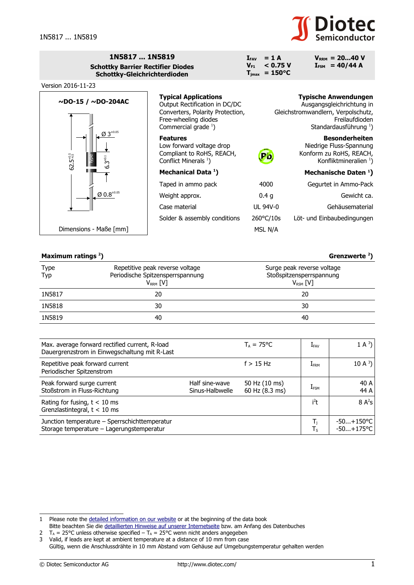

 $V_{\text{RRM}} = 20...40 V$  $I_{FSM}$  = 40/44 A

| 1N5817  1N5819                           |
|------------------------------------------|
| <b>Schottky Barrier Rectifier Diodes</b> |
| Schottky-Gleichrichterdioden             |



 $I_{FAV}$  = 1 A<br> $V_{F1}$  < 0.7 **VF1 < 0.75 V**  $T_{\text{jmax}} = 150^{\circ}C$ 

## **Maximum ratings [2](#page-0-1) ) Grenzwerte <sup>2</sup> )**

| Type<br>Typ | Repetitive peak reverse voltage<br>Periodische Spitzensperrspannung<br>V <sub>RRM</sub> [V] | Surge peak reverse voltage<br>Stoßspitzensperrspannung<br>$V_{RSM}$ [V] |
|-------------|---------------------------------------------------------------------------------------------|-------------------------------------------------------------------------|
| 1N5817      | 20                                                                                          | 20                                                                      |
| 1N5818      | 30                                                                                          | 30                                                                      |
| 1N5819      | 40                                                                                          | 40                                                                      |

| Max. average forward rectified current, R-load<br>Dauergrenzstrom in Einwegschaltung mit R-Last |                                   | $T_A = 75^{\circ}C$             | $I_{\sf FAV}$ | $1 \text{ A}^3$              |
|-------------------------------------------------------------------------------------------------|-----------------------------------|---------------------------------|---------------|------------------------------|
| Repetitive peak forward current<br>Periodischer Spitzenstrom                                    |                                   | $f > 15$ Hz                     | <b>LFRM</b>   | 10 A $3$ )                   |
| Peak forward surge current<br>Stoßstrom in Fluss-Richtung                                       | Half sine-wave<br>Sinus-Halbwelle | 50 Hz (10 ms)<br>60 Hz (8.3 ms) | $I_{FSM}$     | 40 A<br>44 A                 |
| Rating for fusing, $t < 10$ ms<br>Grenzlastintegral, $t < 10$ ms                                |                                   |                                 | $i^2t$        | $8A^2s$                      |
| Junction temperature - Sperrschichttemperatur<br>Storage temperature - Lagerungstemperatur      |                                   |                                 | Тς            | $-50+150$ °C<br>$-50+175$ °C |

<span id="page-0-0"></span><sup>1</sup> Please note the [detailed information on our website](http://diotec.com/en/products/all-products.html) or at the beginning of the data book Bitte beachten Sie die [detaillierten Hinweise auf unserer Internetseite](http://diotec.com/de/produkte/uebersicht.html) bzw. am Anfang des Datenbuches

<span id="page-0-1"></span><sup>2</sup>  $T_A = 25^{\circ}$ C unless otherwise specified –  $T_A = 25^{\circ}$ C wenn nicht anders angegeben

<sup>3</sup> Valid, if leads are kept at ambient temperature at a distance of 10 mm from case

<span id="page-0-2"></span>Gültig, wenn die Anschlussdrähte in 10 mm Abstand vom Gehäuse auf Umgebungstemperatur gehalten werden